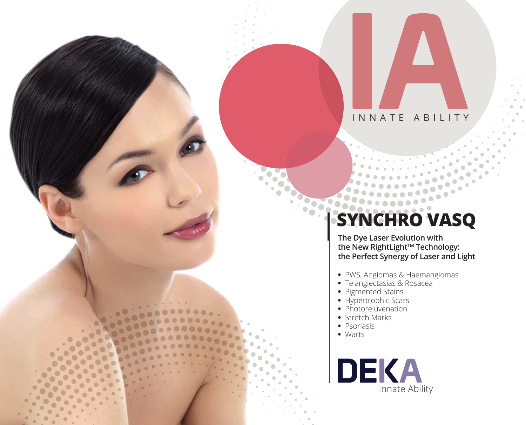## INNATE ABILITY

# **SYNCHRO VASQ**

**The Dye Laser Evolution with the New RightLightTM Technology: the Perfect Synergy of Laser and Light** 

- **•** PWS, Angiomas & Haemangiomas
- **•** Telangiectasias & Rosacea
- **•** Pigmented Stains
- **•** Hypertrophic Scars
- Photorejuvenation
- **•** Stretch Marks
- **•** Psoriasis
- **•** Warts

DEKA Innate Ability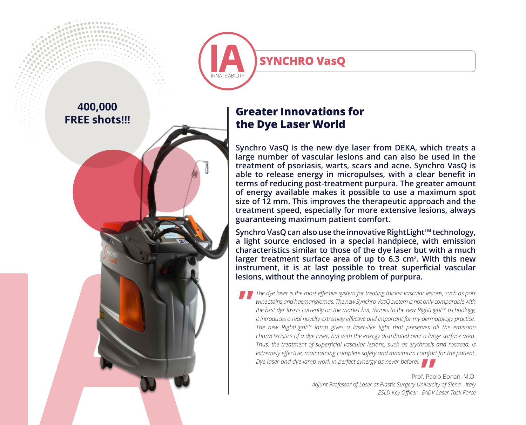**SYNCHRO VasQ** INNATE ARILITY

# **400,000 FREE shots!!!**

## **Greater Innovations for the Dye Laser World**

**Synchro VasQ is the new dye laser from DEKA, which treats a large number of vascular lesions and can also be used in the treatment of psoriasis, warts, scars and acne. Synchro VasQ is able to release energy in micropulses, with a clear benefit in terms of reducing post-treatment purpura. The greater amount of energy available makes it possible to use a maximum spot size of 12 mm. This improves the therapeutic approach and the treatment speed, especially for more extensive lesions, always guaranteeing maximum patient comfort.** 

Synchro VasQ can also use the innovative RightLight™ technology, **a light source enclosed in a special handpiece, with emission characteristics similar to those of the dye laser but with a much**  larger treatment surface area of up to 6.3 cm<sup>2</sup>. With this new **instrument, it is at last possible to treat superficial vascular lesions, without the annoying problem of purpura.**

*The dye laser is the most effective system for treating thicker vascular lesions, such as port wine stains and haemangiomas. The new Synchro VasQ system is not only comparable with the best dye lasers currently on the market but, thanks to the new RightLightTM technology, it introduces a real novelty extremely effective and important for my dermatology practice. The new RightLightTM lamp gives a laser-like light that preserves all the emission characteristics of a dye laser, but with the energy distributed over a large surface area. Thus, the treatment of superficial vascular lesions, such as erythrosis and rosacea, is extremely effective, maintaining complete safety and maximum comfort for the patient.*  **"**

*Dye laser and dye lamp work in perfect synergy as never before!.* **"** Prof. Paolo Bonan, M.D. *Adjunt Professor of Laser at Plastic Surgery University of Siena - Italy ESLD Key Officer - EADV Laser Task Force*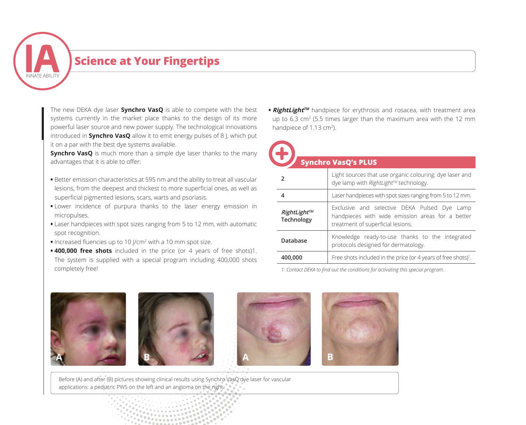

# **Science at Your Fingertips**

The new DEKA dye laser **Synchro VasQ** is able to compete with the best systems currently in the market place thanks to the design of its more powerful laser source and new power supply. The technological innovations introduced in **Synchro VasQ** allow it to emit energy pulses of 8 J, which put it on a par with the best dye systems available.

**Synchro VasQ** is much more than a simple dye laser thanks to the many advantages that it is able to offer:

- **•** Better emission characteristics at 595 nm and the ability to treat all vascular lesions, from the deepest and thickest to more superficial ones, as well as superficial pigmented lesions, scars, warts and psoriasis.
- **•** Lower incidence of purpura thanks to the laser energy emission in micropulses.
- **•** Laser handpieces with spot sizes ranging from 5 to 12 mm, with automatic spot recognition.
- **•** Increased fluencies up to 10 J/cm<sup>2</sup> with a 10 mm spot size.
- **• 400,000 free shots** included in the price (or 4 years of free shots)1. The system is supplied with a special program including 400,000 shots completely free!

**• RightLightTM** handpiece for erythrosis and rosacea, with treatment area up to  $6.3 \text{ cm}^2$  (5.5 times larger than the maximum area with the 12 mm handpiece of 1.13 cm<sup>2</sup>).

| <b>Synchro VasQ's PLUS</b> |                                  |                                                                                                                                       |  |  |
|----------------------------|----------------------------------|---------------------------------------------------------------------------------------------------------------------------------------|--|--|
|                            |                                  | Light sources that use organic colouring: dye laser and<br>dye lamp with RightLight™ technology.                                      |  |  |
|                            |                                  | Laser handpieces with spot sizes ranging from 5 to 12 mm.                                                                             |  |  |
|                            | RightLight™<br><b>Technology</b> | Exclusive and selective DEKA Pulsed Dye Lamp<br>handpieces with wide emission areas for a better<br>treatment of superficial lesions. |  |  |
|                            | Database                         | Knowledge ready-to-use thanks to the integrated<br>protocols designed for dermatology.                                                |  |  |
|                            | 400,000                          | Free shots included in the price (or 4 years of free shots) <sup>1</sup> .                                                            |  |  |

*1: Contact DEKA to find out the conditions for activating this special program.*



Before (A) and after (B) pictures showing clinical results using Synchro VasQ dye laser for vascular applications: a pediatric PWS on the left and an angioma on the right.

> *<u>POSSOR</u>*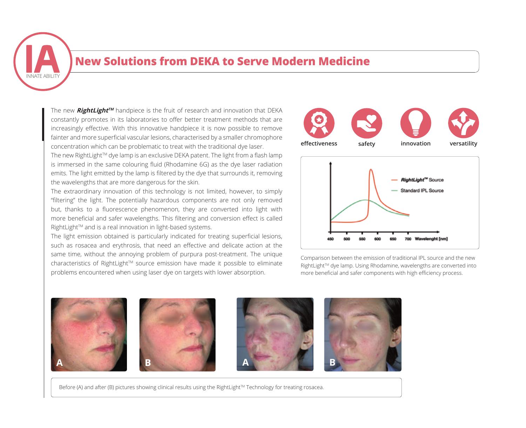

### **New Solutions from DEKA to Serve Modern Medicine**

The new **RightLightTM** handpiece is the fruit of research and innovation that DEKA constantly promotes in its laboratories to offer better treatment methods that are increasingly effective. With this innovative handpiece it is now possible to remove fainter and more superficial vascular lesions, characterised by a smaller chromophore concentration which can be problematic to treat with the traditional dye laser.

The new RightLight $TM$  dye lamp is an exclusive DEKA patent. The light from a flash lamp is immersed in the same colouring fluid (Rhodamine 6G) as the dye laser radiation emits. The light emitted by the lamp is filtered by the dye that surrounds it, removing the wavelengths that are more dangerous for the skin.

The extraordinary innovation of this technology is not limited, however, to simply "filtering" the light. The potentially hazardous components are not only removed but, thanks to a fluorescence phenomenon, they are converted into light with more beneficial and safer wavelengths. This filtering and conversion effect is called RightLight™ and is a real innovation in light-based systems.

The light emission obtained is particularly indicated for treating superficial lesions, such as rosacea and erythrosis, that need an effective and delicate action at the same time, without the annoying problem of purpura post-treatment. The unique characteristics of RightLight<sup>™</sup> source emission have made it possible to eliminate problems encountered when using laser dye on targets with lower absorption.





Comparison between the emission of traditional IPL source and the new RightLight™ dye lamp. Using Rhodamine, wavelengths are converted into beneficial and safer components with bigh officienc more beneficial and safer components with high efficiency process.



Before (A) and after (B) pictures showing clinical results using the RightLight™ Technology for treating rosacea.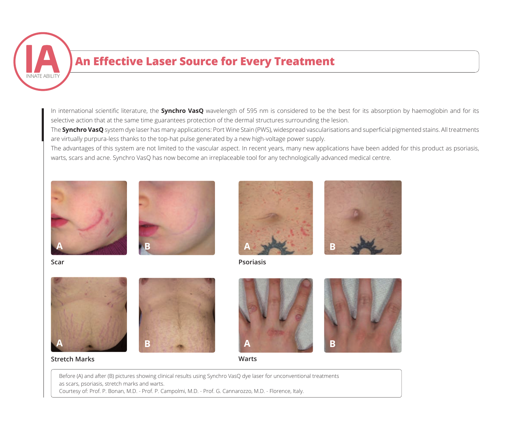

# **An Effective Laser Source for Every Treatment**

In international scientific literature, the **Synchro VasQ** wavelength of 595 nm is considered to be the best for its absorption by haemoglobin and for its selective action that at the same time guarantees protection of the dermal structures surrounding the lesion.

The **Synchro VasQ** system dye laser has many applications: Port Wine Stain (PWS), widespread vascularisations and superficial pigmented stains. All treatments are virtually purpura-less thanks to the top-hat pulse generated by a new high-voltage power supply.

The advantages of this system are not limited to the vascular aspect. In recent years, many new applications have been added for this product as psoriasis, warts, scars and acne. Synchro VasQ has now become an irreplaceable tool for any technologically advanced medical centre.







**Scar Psoriasis**



**A B A B**

#### **Stretch Marks Warts**







Before (A) and after (B) pictures showing clinical results using Synchro VasQ dye laser for unconventional treatments as scars, psoriasis, stretch marks and warts. Courtesy of: Prof. P. Bonan, M.D. - Prof. P. Campolmi, M.D. - Prof. G. Cannarozzo, M.D. - Florence, Italy.